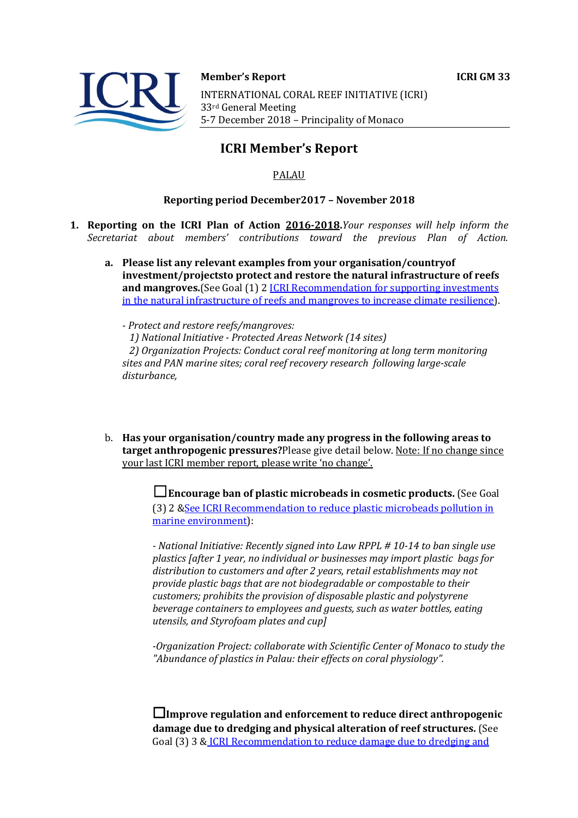

#### **Member's Report ICRI GM 33**

INTERNATIONAL CORAL REEF INITIATIVE (ICRI) 33rd General Meeting 5-7 December 2018 - Principality of Monaco

# **ICRI Member's Report**

## PALAU

## **Reporting period December2017 - November 2018**

- **1. Reporting on the ICRI Plan of Action 2016-2018.** *Your responses will help inform the Secretariat about members' contributions toward the previous Plan of Action.*
	- a. Please list any relevant examples from your organisation/countryof **investment/projectsto protect and restore the natural infrastructure of reefs and mangroves.**(See Goal (1) 2 *ICRI Recommendation for supporting investments* in the natural infrastructure of reefs and mangroves to increase climate resilience).

*- Protect and restore reefs/mangroves: 1) National Initiative - Protected Areas Network (14 sites)* 2) Organization Projects: Conduct coral reef monitoring at long term monitoring sites and PAN marine sites; coral reef recovery research following large-scale  $distance$ .

b. Has your organisation/country made any progress in the following areas to target anthropogenic pressures?Please give detail below. Note: If no change since your last ICRI member report, please write 'no change'.

> **□Encourage ban of plastic microbeads in cosmetic products.** (See Goal (3) 2 & See ICRI Recommendation to reduce plastic microbeads pollution in marine environment):

*- National Initiative: Recently signed into Law RPPL # 10-14 to ban single use plastics [after 1 year, no individual or businesses may import plastic bags for*  distribution to customers and after 2 years, retail establishments may not *provide plastic bags that are not biodegradable or compostable to their customers; prohibits the provision of disposable plastic and polystyrene beverage containers to employees and guests, such as water bottles, eating utensils, and Styrofoam plates and cup]* 

-Organization Project: collaborate with Scientific Center of Monaco to study the "Abundance of plastics in Palau: their effects on coral physiology".

**□Improve regulation and enforcement to reduce direct anthropogenic damage due to dredging and physical alteration of reef structures.** (See Goal (3) 3 & ICRI Recommendation to reduce damage due to dredging and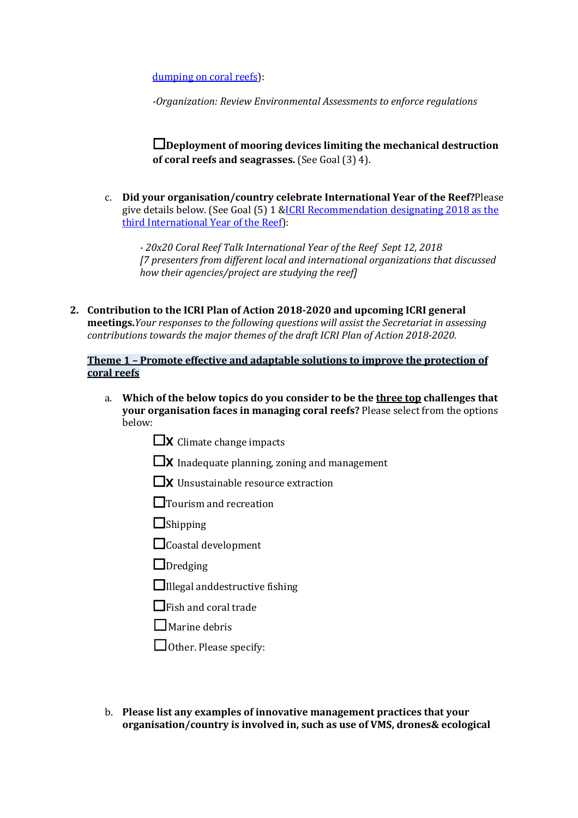dumping on coral reefs):

*-Organization: Review Environmental Assessments to enforce regulations* 

□Deployment of mooring devices limiting the mechanical destruction **of coral reefs and seagrasses.** (See Goal (3) 4).

c. **Did your organisation/country celebrate International Year of the Reef?**Please give details below. (See Goal  $(5)$  1 &ICRI Recommendation designating 2018 as the third International Year of the Reef):

*- 20x20 Coral Reef Talk International Year of the Reef Sept 12, 2018 [7 presenters from different local and international organizations that discussed how their agencies/project are studying the reefl* 

2. Contribution to the ICRI Plan of Action 2018-2020 and upcoming ICRI general **meetings.***Your responses to the following questions will assist the Secretariat in assessing contributions towards the major themes of the draft ICRI Plan of Action 2018-2020.* 

### **Theme 1 - Promote effective and adaptable solutions to improve the protection of coral reefs**

- a. Which of the below topics do you consider to be the three top challenges that **your organisation faces in managing coral reefs?** Please select from the options below:
	- $\square$ X Climate change impacts
	- $\Box$ X Inadequate planning, zoning and management
	- $\square$ x Unsustainable resource extraction
	- □Tourism and recreation
	- $\Box$ Shipping
	- $\Box$ Coastal development
	- $\Box$ Dredging
	- $\Box$ Illegal anddestructive fishing
	- $\Box$ Fish and coral trade
	- $\Box$  Marine debris
	- □ Other. Please specify:
- b. Please list any examples of innovative management practices that your **organisation/country is involved in, such as use of VMS, drones& ecological**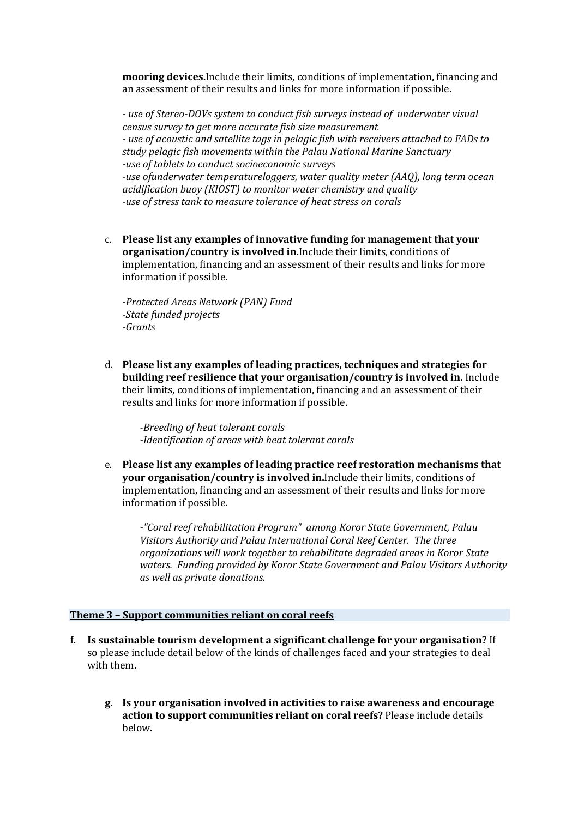**mooring devices.** Include their limits, conditions of implementation, financing and an assessment of their results and links for more information if possible.

*- use of Stereo-DOVs system to conduct fish surveys instead of underwater visual census survey to get more accurate fish size measurement - use of acoustic and satellite tags in pelagic fish with receivers attached to FADs to study pelagic fish movements within the Palau National Marine Sanctuary -use of tablets to conduct socioeconomic surveys -use ofunderwater temperatureloggers, water quality meter (AAQ), long term ocean* acidification buoy (KIOST) to monitor water chemistry and quality -use of stress tank to measure tolerance of heat stress on corals

c. Please list any examples of innovative funding for management that your **organisation/country is involved in.**Include their limits, conditions of implementation, financing and an assessment of their results and links for more information if possible.

*-Protected Areas Network (PAN) Fund -State funded projects -Grants*

d. **Please list any examples of leading practices, techniques and strategies for building reef resilience that your organisation/country is involved in.** Include their limits, conditions of implementation, financing and an assessment of their results and links for more information if possible.

*-Breeding of heat tolerant corals -Identification of areas with heat tolerant corals*

e. Please list any examples of leading practice reef restoration mechanisms that **your organisation/country is involved in.**Include their limits, conditions of implementation, financing and an assessment of their results and links for more information if possible.

-"Coral reef rehabilitation Program" among Koror State Government, Palau *Visitors Authority and Palau International Coral Reef Center. The three organizations will work together to rehabilitate degraded areas in Koror State* waters. Funding provided by Koror State Government and Palau Visitors Authority *as well as private donations.*

#### **Theme 3 - Support communities reliant on coral reefs**

- **f.** Is sustainable tourism development a significant challenge for your organisation? If so please include detail below of the kinds of challenges faced and your strategies to deal with them.
	- **g. Is your organisation involved in activities to raise awareness and encourage**  action to support communities reliant on coral reefs? Please include details below.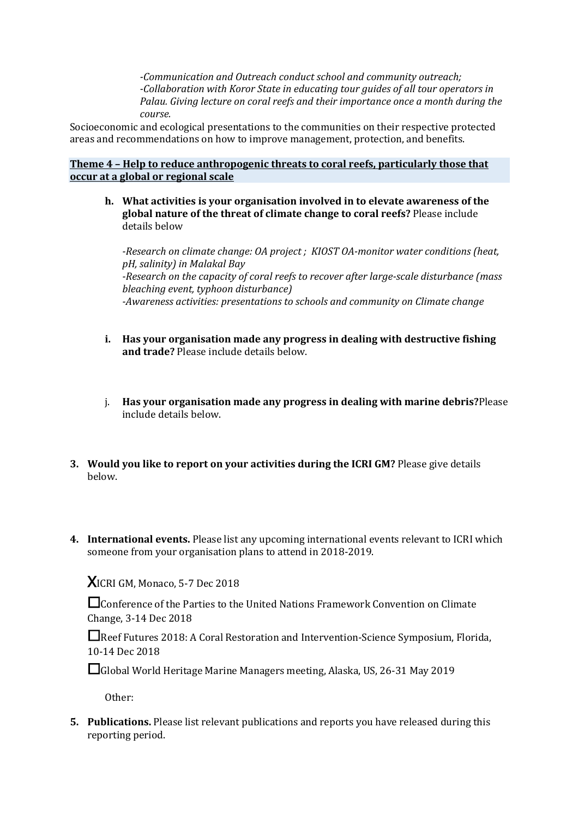*-Communication and Outreach conduct school and community outreach; -Collaboration with Koror State in educating tour guides of all tour operators in* Palau. Giving lecture on coral reefs and their importance once a month during the *course.*

Socioeconomic and ecological presentations to the communities on their respective protected areas and recommendations on how to improve management, protection, and benefits.

**Theme 4 - Help to reduce anthropogenic threats to coral reefs, particularly those that occur at a global or regional scale** 

**h.** What activities is your organisation involved in to elevate awareness of the global nature of the threat of climate change to coral reefs? Please include details below

*-Research on climate change: OA project ; KIOST OA-monitor water conditions (heat, pH, salinity) in Malakal Bay* -Research on the capacity of coral reefs to recover after large-scale disturbance (mass *bleaching event, typhoon disturbance) -Awareness activities: presentations to schools and community on Climate change* 

- **i.** Has your organisation made any progress in dealing with destructive fishing and trade? Please include details below.
- j. Has your organisation made any progress in dealing with marine debris? Please include details below.
- **3.** Would you like to report on your activities during the ICRI GM? Please give details below.
- 4. International events. Please list any upcoming international events relevant to ICRI which someone from your organisation plans to attend in 2018-2019.

**XICRI GM, Monaco, 5-7 Dec 2018** 

 $\Box$ Conference of the Parties to the United Nations Framework Convention on Climate Change, 3-14 Dec 2018

□Reef Futures 2018: A Coral Restoration and Intervention-Science Symposium, Florida, 10-14 Dec 2018

□Global World Heritage Marine Managers meeting, Alaska, US, 26-31 May 2019

Other: 

**5.** Publications. Please list relevant publications and reports you have released during this reporting period.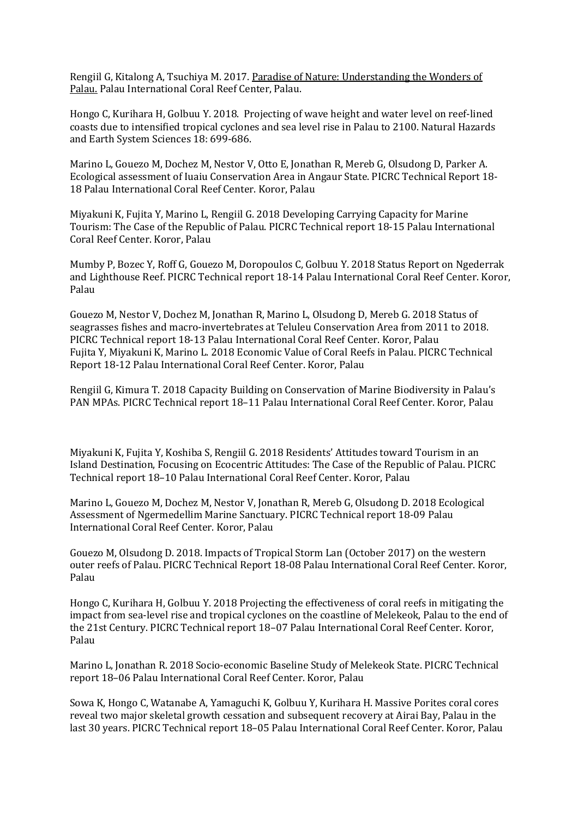Rengiil G, Kitalong A, Tsuchiya M. 2017. Paradise of Nature: Understanding the Wonders of Palau. Palau International Coral Reef Center, Palau.

Hongo C, Kurihara H, Golbuu Y. 2018. Projecting of wave height and water level on reef-lined coasts due to intensified tropical cyclones and sea level rise in Palau to 2100. Natural Hazards and Earth System Sciences 18: 699-686.

Marino L, Gouezo M, Dochez M, Nestor V, Otto E, Jonathan R, Mereb G, Olsudong D, Parker A. Ecological assessment of Iuaiu Conservation Area in Angaur State. PICRC Technical Report 18-18 Palau International Coral Reef Center. Koror, Palau

Miyakuni K, Fujita Y, Marino L, Rengiil G. 2018 Developing Carrying Capacity for Marine Tourism: The Case of the Republic of Palau. PICRC Technical report 18-15 Palau International Coral Reef Center. Koror, Palau

Mumby P, Bozec Y, Roff G, Gouezo M, Doropoulos C, Golbuu Y. 2018 Status Report on Ngederrak and Lighthouse Reef. PICRC Technical report 18-14 Palau International Coral Reef Center. Koror, Palau

Gouezo M, Nestor V, Dochez M, Jonathan R, Marino L, Olsudong D, Mereb G. 2018 Status of seagrasses fishes and macro-invertebrates at Teluleu Conservation Area from 2011 to 2018. PICRC Technical report 18-13 Palau International Coral Reef Center. Koror, Palau Fujita Y, Miyakuni K, Marino L, 2018 Economic Value of Coral Reefs in Palau. PICRC Technical Report 18-12 Palau International Coral Reef Center. Koror, Palau

Rengiil G. Kimura T. 2018 Capacity Building on Conservation of Marine Biodiversity in Palau's PAN MPAs. PICRC Technical report 18-11 Palau International Coral Reef Center. Koror, Palau

Miyakuni K, Fujita Y, Koshiba S, Rengiil G. 2018 Residents' Attitudes toward Tourism in an Island Destination, Focusing on Ecocentric Attitudes: The Case of the Republic of Palau. PICRC Technical report 18-10 Palau International Coral Reef Center. Koror, Palau

Marino L, Gouezo M, Dochez M, Nestor V, Jonathan R, Mereb G, Olsudong D. 2018 Ecological Assessment of Ngermedellim Marine Sanctuary. PICRC Technical report 18-09 Palau International Coral Reef Center. Koror, Palau

Gouezo M, Olsudong D. 2018. Impacts of Tropical Storm Lan (October 2017) on the western outer reefs of Palau. PICRC Technical Report 18-08 Palau International Coral Reef Center. Koror, Palau

Hongo C, Kurihara H, Golbuu Y. 2018 Projecting the effectiveness of coral reefs in mitigating the impact from sea-level rise and tropical cyclones on the coastline of Melekeok, Palau to the end of the 21st Century. PICRC Technical report 18-07 Palau International Coral Reef Center. Koror, Palau

Marino L, Jonathan R, 2018 Socio-economic Baseline Study of Melekeok State. PICRC Technical report 18-06 Palau International Coral Reef Center. Koror, Palau

Sowa K, Hongo C, Watanabe A, Yamaguchi K, Golbuu Y, Kurihara H. Massive Porites coral cores reveal two major skeletal growth cessation and subsequent recovery at Airai Bay, Palau in the last 30 years. PICRC Technical report 18-05 Palau International Coral Reef Center. Koror, Palau